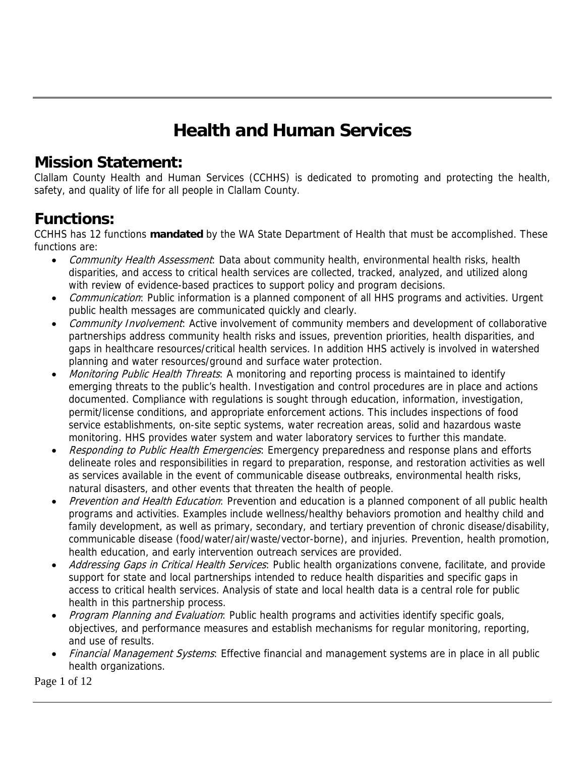# **Health and Human Services**

### **Mission Statement:**

Clallam County Health and Human Services (CCHHS) is dedicated to promoting and protecting the health, safety, and quality of life for all people in Clallam County.

### **Functions:**

CCHHS has 12 functions **mandated** by the WA State Department of Health that must be accomplished. These functions are:

- Community Health Assessment: Data about community health, environmental health risks, health disparities, and access to critical health services are collected, tracked, analyzed, and utilized along with review of evidence-based practices to support policy and program decisions.
- *Communication*: Public information is a planned component of all HHS programs and activities. Urgent public health messages are communicated quickly and clearly.
- Community Involvement: Active involvement of community members and development of collaborative partnerships address community health risks and issues, prevention priorities, health disparities, and gaps in healthcare resources/critical health services. In addition HHS actively is involved in watershed planning and water resources/ground and surface water protection.
- Monitoring Public Health Threats: A monitoring and reporting process is maintained to identify emerging threats to the public's health. Investigation and control procedures are in place and actions documented. Compliance with regulations is sought through education, information, investigation, permit/license conditions, and appropriate enforcement actions. This includes inspections of food service establishments, on-site septic systems, water recreation areas, solid and hazardous waste monitoring. HHS provides water system and water laboratory services to further this mandate.
- Responding to Public Health Emergencies: Emergency preparedness and response plans and efforts delineate roles and responsibilities in regard to preparation, response, and restoration activities as well as services available in the event of communicable disease outbreaks, environmental health risks, natural disasters, and other events that threaten the health of people.
- Prevention and Health Education: Prevention and education is a planned component of all public health programs and activities. Examples include wellness/healthy behaviors promotion and healthy child and family development, as well as primary, secondary, and tertiary prevention of chronic disease/disability, communicable disease (food/water/air/waste/vector-borne), and injuries. Prevention, health promotion, health education, and early intervention outreach services are provided.
- Addressing Gaps in Critical Health Services: Public health organizations convene, facilitate, and provide support for state and local partnerships intended to reduce health disparities and specific gaps in access to critical health services. Analysis of state and local health data is a central role for public health in this partnership process.
- Program Planning and Evaluation: Public health programs and activities identify specific goals, objectives, and performance measures and establish mechanisms for regular monitoring, reporting, and use of results.
- Financial Management Systems: Effective financial and management systems are in place in all public health organizations.

Page 1 of 12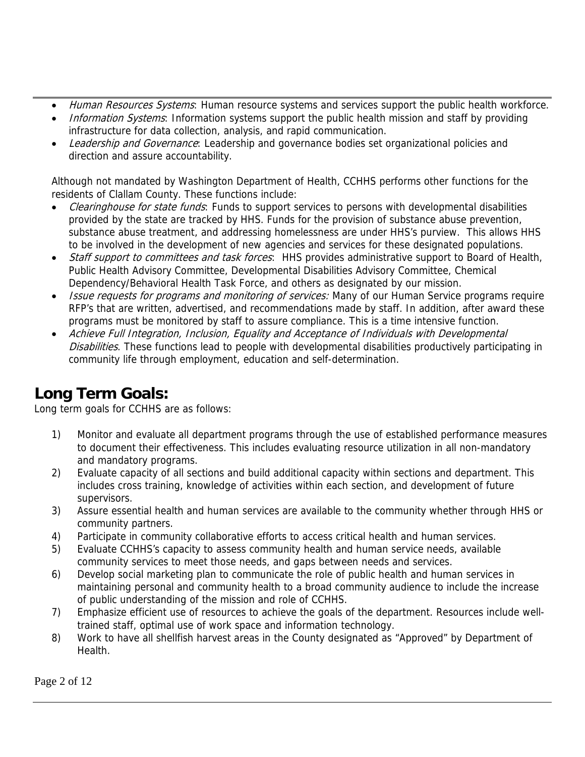- Human Resources Systems: Human resource systems and services support the public health workforce.
- Information Systems: Information systems support the public health mission and staff by providing infrastructure for data collection, analysis, and rapid communication.
- Leadership and Governance: Leadership and governance bodies set organizational policies and direction and assure accountability.

Although not mandated by Washington Department of Health, CCHHS performs other functions for the residents of Clallam County. These functions include:

- Clearinghouse for state funds: Funds to support services to persons with developmental disabilities provided by the state are tracked by HHS. Funds for the provision of substance abuse prevention, substance abuse treatment, and addressing homelessness are under HHS's purview. This allows HHS to be involved in the development of new agencies and services for these designated populations.
- Staff support to committees and task forces: HHS provides administrative support to Board of Health, Public Health Advisory Committee, Developmental Disabilities Advisory Committee, Chemical Dependency/Behavioral Health Task Force, and others as designated by our mission.
- Issue requests for programs and monitoring of services: Many of our Human Service programs require RFP's that are written, advertised, and recommendations made by staff. In addition, after award these programs must be monitored by staff to assure compliance. This is a time intensive function.
- Achieve Full Integration, Inclusion, Equality and Acceptance of Individuals with Developmental Disabilities. These functions lead to people with developmental disabilities productively participating in community life through employment, education and self-determination.

### **Long Term Goals:**

Long term goals for CCHHS are as follows:

- 1) Monitor and evaluate all department programs through the use of established performance measures to document their effectiveness. This includes evaluating resource utilization in all non-mandatory and mandatory programs.
- 2) Evaluate capacity of all sections and build additional capacity within sections and department. This includes cross training, knowledge of activities within each section, and development of future supervisors.
- 3) Assure essential health and human services are available to the community whether through HHS or community partners.
- 4) Participate in community collaborative efforts to access critical health and human services.
- 5) Evaluate CCHHS's capacity to assess community health and human service needs, available community services to meet those needs, and gaps between needs and services.
- 6) Develop social marketing plan to communicate the role of public health and human services in maintaining personal and community health to a broad community audience to include the increase of public understanding of the mission and role of CCHHS.
- 7) Emphasize efficient use of resources to achieve the goals of the department. Resources include welltrained staff, optimal use of work space and information technology.
- 8) Work to have all shellfish harvest areas in the County designated as "Approved" by Department of Health.

Page 2 of 12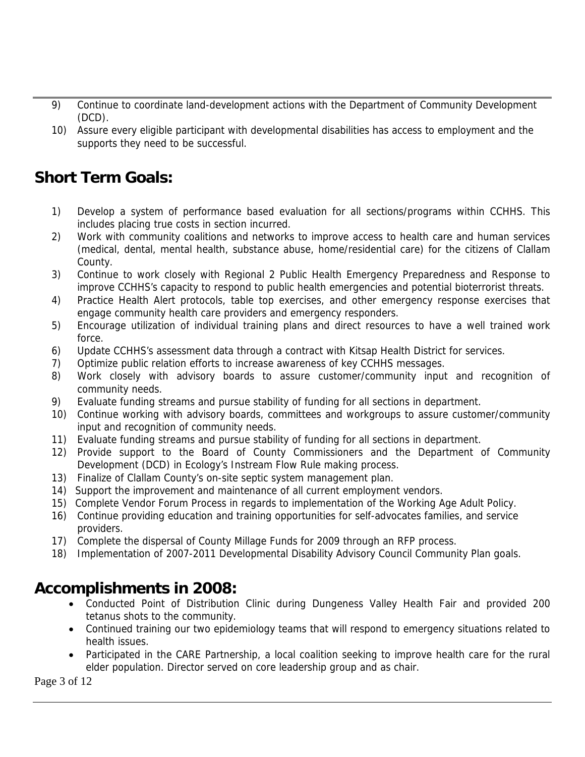- 9) Continue to coordinate land-development actions with the Department of Community Development (DCD).
- 10) Assure every eligible participant with developmental disabilities has access to employment and the supports they need to be successful.

### **Short Term Goals:**

- 1) Develop a system of performance based evaluation for all sections/programs within CCHHS. This includes placing true costs in section incurred.
- 2) Work with community coalitions and networks to improve access to health care and human services (medical, dental, mental health, substance abuse, home/residential care) for the citizens of Clallam County.
- 3) Continue to work closely with Regional 2 Public Health Emergency Preparedness and Response to improve CCHHS's capacity to respond to public health emergencies and potential bioterrorist threats.
- 4) Practice Health Alert protocols, table top exercises, and other emergency response exercises that engage community health care providers and emergency responders.
- 5) Encourage utilization of individual training plans and direct resources to have a well trained work force.
- 6) Update CCHHS's assessment data through a contract with Kitsap Health District for services.
- 7) Optimize public relation efforts to increase awareness of key CCHHS messages.
- 8) Work closely with advisory boards to assure customer/community input and recognition of community needs.
- 9) Evaluate funding streams and pursue stability of funding for all sections in department.
- 10) Continue working with advisory boards, committees and workgroups to assure customer/community input and recognition of community needs.
- 11) Evaluate funding streams and pursue stability of funding for all sections in department.
- 12) Provide support to the Board of County Commissioners and the Department of Community Development (DCD) in Ecology's Instream Flow Rule making process.
- 13) Finalize of Clallam County's on-site septic system management plan.
- 14) Support the improvement and maintenance of all current employment vendors.
- 15) Complete Vendor Forum Process in regards to implementation of the Working Age Adult Policy.
- 16) Continue providing education and training opportunities for self-advocates families, and service providers.
- 17) Complete the dispersal of County Millage Funds for 2009 through an RFP process.
- 18) Implementation of 2007-2011 Developmental Disability Advisory Council Community Plan goals.

### **Accomplishments in 2008:**

- Conducted Point of Distribution Clinic during Dungeness Valley Health Fair and provided 200 tetanus shots to the community.
- Continued training our two epidemiology teams that will respond to emergency situations related to health issues.
- Participated in the CARE Partnership, a local coalition seeking to improve health care for the rural elder population. Director served on core leadership group and as chair.

Page 3 of 12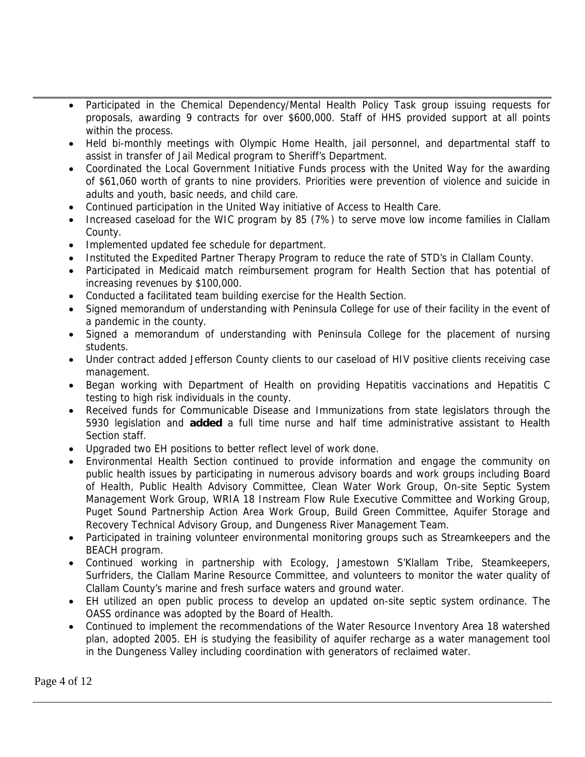- Participated in the Chemical Dependency/Mental Health Policy Task group issuing requests for proposals, awarding 9 contracts for over \$600,000. Staff of HHS provided support at all points within the process.
- Held bi-monthly meetings with Olympic Home Health, jail personnel, and departmental staff to assist in transfer of Jail Medical program to Sheriff's Department.
- Coordinated the Local Government Initiative Funds process with the United Way for the awarding of \$61,060 worth of grants to nine providers. Priorities were prevention of violence and suicide in adults and youth, basic needs, and child care.
- Continued participation in the United Way initiative of Access to Health Care.
- Increased caseload for the WIC program by 85 (7%) to serve move low income families in Clallam County.
- Implemented updated fee schedule for department.
- Instituted the Expedited Partner Therapy Program to reduce the rate of STD's in Clallam County.
- Participated in Medicaid match reimbursement program for Health Section that has potential of increasing revenues by \$100,000.
- Conducted a facilitated team building exercise for the Health Section.
- Signed memorandum of understanding with Peninsula College for use of their facility in the event of a pandemic in the county.
- Signed a memorandum of understanding with Peninsula College for the placement of nursing students.
- Under contract added Jefferson County clients to our caseload of HIV positive clients receiving case management.
- Began working with Department of Health on providing Hepatitis vaccinations and Hepatitis C testing to high risk individuals in the county.
- Received funds for Communicable Disease and Immunizations from state legislators through the 5930 legislation and **added** a full time nurse and half time administrative assistant to Health Section staff.
- Upgraded two EH positions to better reflect level of work done.
- Environmental Health Section continued to provide information and engage the community on public health issues by participating in numerous advisory boards and work groups including Board of Health, Public Health Advisory Committee, Clean Water Work Group, On-site Septic System Management Work Group, WRIA 18 Instream Flow Rule Executive Committee and Working Group, Puget Sound Partnership Action Area Work Group, Build Green Committee, Aquifer Storage and Recovery Technical Advisory Group, and Dungeness River Management Team.
- Participated in training volunteer environmental monitoring groups such as Streamkeepers and the BEACH program.
- Continued working in partnership with Ecology, Jamestown S'Klallam Tribe, Steamkeepers, Surfriders, the Clallam Marine Resource Committee, and volunteers to monitor the water quality of Clallam County's marine and fresh surface waters and ground water.
- EH utilized an open public process to develop an updated on-site septic system ordinance. The OASS ordinance was adopted by the Board of Health.
- Continued to implement the recommendations of the Water Resource Inventory Area 18 watershed plan, adopted 2005. EH is studying the feasibility of aquifer recharge as a water management tool in the Dungeness Valley including coordination with generators of reclaimed water.

Page 4 of 12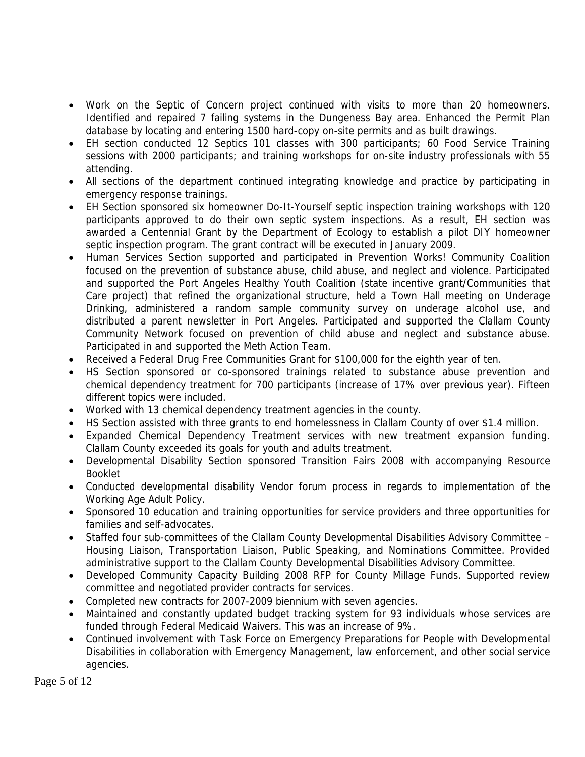- Work on the Septic of Concern project continued with visits to more than 20 homeowners. Identified and repaired 7 failing systems in the Dungeness Bay area. Enhanced the Permit Plan database by locating and entering 1500 hard-copy on-site permits and as built drawings.
- EH section conducted 12 Septics 101 classes with 300 participants; 60 Food Service Training sessions with 2000 participants; and training workshops for on-site industry professionals with 55 attending.
- All sections of the department continued integrating knowledge and practice by participating in emergency response trainings.
- EH Section sponsored six homeowner Do-It-Yourself septic inspection training workshops with 120 participants approved to do their own septic system inspections. As a result, EH section was awarded a Centennial Grant by the Department of Ecology to establish a pilot DIY homeowner septic inspection program. The grant contract will be executed in January 2009.
- Human Services Section supported and participated in Prevention Works! Community Coalition focused on the prevention of substance abuse, child abuse, and neglect and violence. Participated and supported the Port Angeles Healthy Youth Coalition (state incentive grant/Communities that Care project) that refined the organizational structure, held a Town Hall meeting on Underage Drinking, administered a random sample community survey on underage alcohol use, and distributed a parent newsletter in Port Angeles. Participated and supported the Clallam County Community Network focused on prevention of child abuse and neglect and substance abuse. Participated in and supported the Meth Action Team.
- Received a Federal Drug Free Communities Grant for \$100,000 for the eighth year of ten.
- HS Section sponsored or co-sponsored trainings related to substance abuse prevention and chemical dependency treatment for 700 participants (increase of 17% over previous year). Fifteen different topics were included.
- Worked with 13 chemical dependency treatment agencies in the county.
- HS Section assisted with three grants to end homelessness in Clallam County of over \$1.4 million.
- Expanded Chemical Dependency Treatment services with new treatment expansion funding. Clallam County exceeded its goals for youth and adults treatment.
- Developmental Disability Section sponsored Transition Fairs 2008 with accompanying Resource Booklet
- Conducted developmental disability Vendor forum process in regards to implementation of the Working Age Adult Policy.
- Sponsored 10 education and training opportunities for service providers and three opportunities for families and self-advocates.
- Staffed four sub-committees of the Clallam County Developmental Disabilities Advisory Committee Housing Liaison, Transportation Liaison, Public Speaking, and Nominations Committee. Provided administrative support to the Clallam County Developmental Disabilities Advisory Committee.
- Developed Community Capacity Building 2008 RFP for County Millage Funds. Supported review committee and negotiated provider contracts for services.
- Completed new contracts for 2007-2009 biennium with seven agencies.
- Maintained and constantly updated budget tracking system for 93 individuals whose services are funded through Federal Medicaid Waivers. This was an increase of 9%.
- Continued involvement with Task Force on Emergency Preparations for People with Developmental Disabilities in collaboration with Emergency Management, law enforcement, and other social service agencies.

Page 5 of 12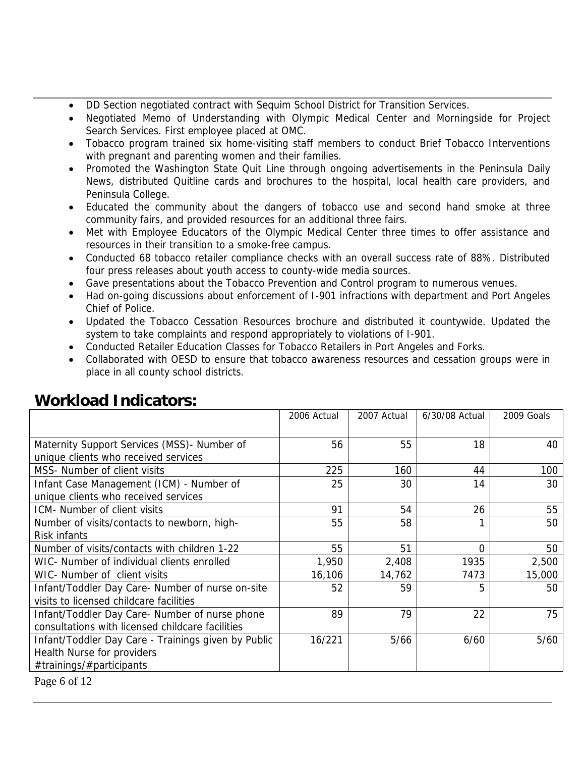- DD Section negotiated contract with Sequim School District for Transition Services.
- Negotiated Memo of Understanding with Olympic Medical Center and Morningside for Project Search Services. First employee placed at OMC.
- Tobacco program trained six home-visiting staff members to conduct Brief Tobacco Interventions with pregnant and parenting women and their families.
- Promoted the Washington State Quit Line through ongoing advertisements in the Peninsula Daily News, distributed Quitline cards and brochures to the hospital, local health care providers, and Peninsula College.
- Educated the community about the dangers of tobacco use and second hand smoke at three community fairs, and provided resources for an additional three fairs.
- Met with Employee Educators of the Olympic Medical Center three times to offer assistance and resources in their transition to a smoke-free campus.
- Conducted 68 tobacco retailer compliance checks with an overall success rate of 88%. Distributed four press releases about youth access to county-wide media sources.
- Gave presentations about the Tobacco Prevention and Control program to numerous venues.
- Had on-going discussions about enforcement of I-901 infractions with department and Port Angeles Chief of Police.
- Updated the Tobacco Cessation Resources brochure and distributed it countywide. Updated the system to take complaints and respond appropriately to violations of I-901.
- Conducted Retailer Education Classes for Tobacco Retailers in Port Angeles and Forks.
- Collaborated with OESD to ensure that tobacco awareness resources and cessation groups were in place in all county school districts.

|                                                     | 2006 Actual | 2007 Actual | 6/30/08 Actual | 2009 Goals |
|-----------------------------------------------------|-------------|-------------|----------------|------------|
|                                                     |             |             |                |            |
| Maternity Support Services (MSS) - Number of        | 56          | 55          | 18             | 40         |
| unique clients who received services                |             |             |                |            |
| MSS- Number of client visits                        | 225         | 160         | 44             | 100        |
| Infant Case Management (ICM) - Number of            | 25          | 30          | 14             | 30         |
| unique clients who received services                |             |             |                |            |
| ICM- Number of client visits                        | 91          | 54          | 26             | 55         |
| Number of visits/contacts to newborn, high-         | 55          | 58          |                | 50         |
| Risk infants                                        |             |             |                |            |
| Number of visits/contacts with children 1-22        | 55          | 51          | 0              | 50         |
| WIC- Number of individual clients enrolled          | 1,950       | 2,408       | 1935           | 2,500      |
| WIC- Number of client visits                        | 16,106      | 14,762      | 7473           | 15,000     |
| Infant/Toddler Day Care- Number of nurse on-site    | 52          | 59          | 5              | 50         |
| visits to licensed childcare facilities             |             |             |                |            |
| Infant/Toddler Day Care- Number of nurse phone      | 89          | 79          | 22             | 75         |
| consultations with licensed childcare facilities    |             |             |                |            |
| Infant/Toddler Day Care - Trainings given by Public | 16/221      | 5/66        | 6/60           | $5/60$     |
| Health Nurse for providers                          |             |             |                |            |
| #trainings/#participants                            |             |             |                |            |

### **Workload Indicators:**

Page 6 of 12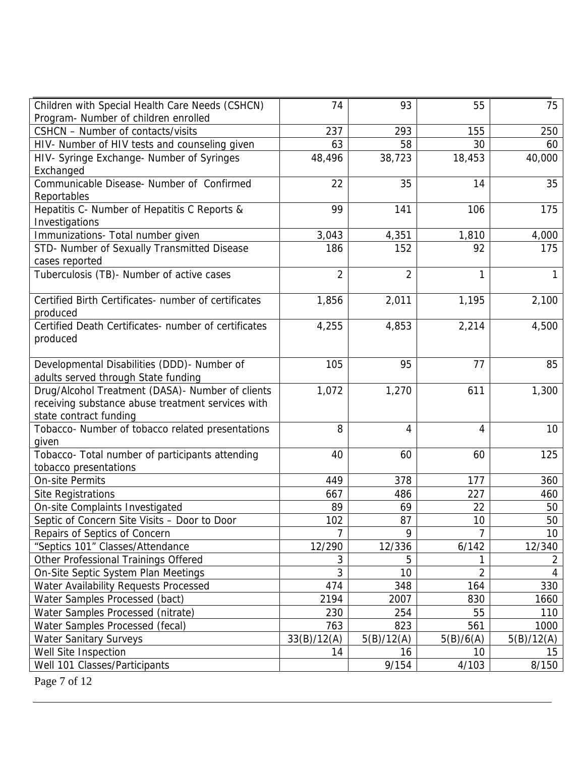| Children with Special Health Care Needs (CSHCN)<br>Program- Number of children enrolled                                          | 74             | 93             | 55             | 75         |
|----------------------------------------------------------------------------------------------------------------------------------|----------------|----------------|----------------|------------|
| CSHCN - Number of contacts/visits                                                                                                | 237            | 293            | 155            | 250        |
| HIV- Number of HIV tests and counseling given                                                                                    | 63             | 58             | 30             | 60         |
| HIV- Syringe Exchange- Number of Syringes                                                                                        | 48,496         | 38,723         | 18,453         | 40,000     |
| Exchanged                                                                                                                        |                |                |                |            |
| Communicable Disease- Number of Confirmed<br>Reportables                                                                         | 22             | 35             | 14             | 35         |
| Hepatitis C- Number of Hepatitis C Reports &<br>Investigations                                                                   | 99             | 141            | 106            | 175        |
| Immunizations- Total number given                                                                                                | 3,043          | 4,351          | 1,810          | 4,000      |
| STD- Number of Sexually Transmitted Disease<br>cases reported                                                                    | 186            | 152            | 92             | 175        |
| Tuberculosis (TB)- Number of active cases                                                                                        | $\overline{2}$ | $\overline{2}$ | 1              | 1          |
| Certified Birth Certificates- number of certificates<br>produced                                                                 | 1,856          | 2,011          | 1,195          | 2,100      |
| Certified Death Certificates- number of certificates<br>produced                                                                 | 4,255          | 4,853          | 2,214          | 4,500      |
| Developmental Disabilities (DDD)- Number of<br>adults served through State funding                                               | 105            | 95             | 77             | 85         |
| Drug/Alcohol Treatment (DASA) - Number of clients<br>receiving substance abuse treatment services with<br>state contract funding | 1,072          | 1,270          | 611            | 1,300      |
| Tobacco- Number of tobacco related presentations<br>given                                                                        | 8              | 4              | 4              | 10         |
| Tobacco- Total number of participants attending<br>tobacco presentations                                                         | 40             | 60             | 60             | 125        |
| <b>On-site Permits</b>                                                                                                           | 449            | 378            | 177            | 360        |
| <b>Site Registrations</b>                                                                                                        | 667            | 486            | 227            | 460        |
| On-site Complaints Investigated                                                                                                  | 89             | 69             | 22             | 50         |
| Septic of Concern Site Visits - Door to Door                                                                                     | 102            | 87             | 10             | 50         |
| Repairs of Septics of Concern                                                                                                    | $\overline{7}$ | 9              | 7              | 10         |
| "Septics 101" Classes/Attendance                                                                                                 | 12/290         | 12/336         | 6/142          | 12/340     |
| Other Professional Trainings Offered                                                                                             | 3              | 5              | 1              | 2          |
| On-Site Septic System Plan Meetings                                                                                              | 3              | 10             | $\overline{2}$ | 4          |
| Water Availability Requests Processed                                                                                            | 474            | 348            | 164            | 330        |
| Water Samples Processed (bact)                                                                                                   | 2194           | 2007           | 830            | 1660       |
| Water Samples Processed (nitrate)                                                                                                | 230            | 254            | 55             | 110        |
| Water Samples Processed (fecal)                                                                                                  | 763            | 823            | 561            | 1000       |
| <b>Water Sanitary Surveys</b>                                                                                                    | 33(B)/12(A)    | 5(B)/12(A)     | 5(B)/6(A)      | 5(B)/12(A) |
| Well Site Inspection                                                                                                             | 14             | 16             | 10             | 15         |
| Well 101 Classes/Participants                                                                                                    |                | 9/154          | 4/103          | 8/150      |

Page 7 of 12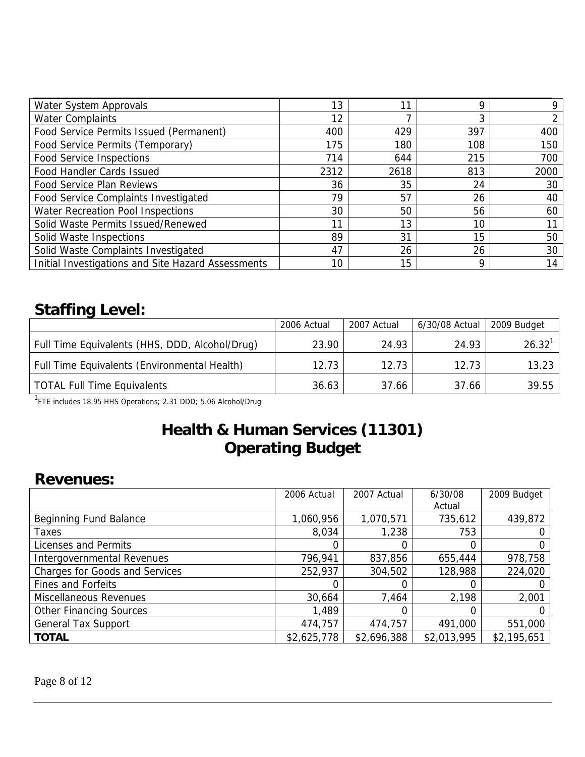| Water System Approvals                             | 13   |      | Ω   |      |
|----------------------------------------------------|------|------|-----|------|
| <b>Water Complaints</b>                            | 12   |      | ⌒   |      |
| Food Service Permits Issued (Permanent)            | 400  | 429  | 397 | 400  |
| Food Service Permits (Temporary)                   | 175  | 180  | 108 | 150  |
| <b>Food Service Inspections</b>                    | 714  | 644  | 215 | 700  |
| Food Handler Cards Issued                          | 2312 | 2618 | 813 | 2000 |
| <b>Food Service Plan Reviews</b>                   | 36   | 35   | 24  | 30   |
| Food Service Complaints Investigated               | 79   | 57   | 26  | 40   |
| Water Recreation Pool Inspections                  | 30   | 50   | 56  | 60   |
| Solid Waste Permits Issued/Renewed                 | 11   | 13   | 10  | 11   |
| Solid Waste Inspections                            | 89   | 31   | 15  | 50   |
| Solid Waste Complaints Investigated                | 47   | 26   | 26  | 30   |
| Initial Investigations and Site Hazard Assessments | 10   | 15   | Q   | 14   |

### **Staffing Level:**

|                                                | 2006 Actual | 2007 Actual | 6/30/08 Actual | 2009 Budget        |
|------------------------------------------------|-------------|-------------|----------------|--------------------|
| Full Time Equivalents (HHS, DDD, Alcohol/Drug) | 23.90       | 24.93       | 24.93          | 26.32 <sup>1</sup> |
| Full Time Equivalents (Environmental Health)   | 12.73       | 12.73       | 12.73          | 13.23              |
| <b>TOTAL Full Time Equivalents</b>             | 36.63       | 37.66       | 37.66          | 39.55              |

<sup>1</sup>FTE includes 18.95 HHS Operations; 2.31 DDD; 5.06 Alcohol/Drug

### **Health & Human Services (11301) Operating Budget**

#### **Revenues:**

|                                   | 2006 Actual | 2007 Actual | 6/30/08<br>Actual | 2009 Budget |
|-----------------------------------|-------------|-------------|-------------------|-------------|
| Beginning Fund Balance            | 1,060,956   | 1,070,571   | 735,612           | 439,872     |
| Taxes                             | 8,034       | 1,238       | 753               |             |
| Licenses and Permits              |             |             |                   |             |
| <b>Intergovernmental Revenues</b> | 796,941     | 837,856     | 655,444           | 978,758     |
| Charges for Goods and Services    | 252,937     | 304,502     | 128,988           | 224,020     |
| <b>Fines and Forfeits</b>         |             |             |                   |             |
| Miscellaneous Revenues            | 30,664      | 7,464       | 2,198             | 2,001       |
| <b>Other Financing Sources</b>    | 1,489       |             |                   |             |
| <b>General Tax Support</b>        | 474,757     | 474,757     | 491,000           | 551,000     |
| <b>TOTAL</b>                      | \$2,625,778 | \$2,696,388 | \$2,013,995       | \$2,195,651 |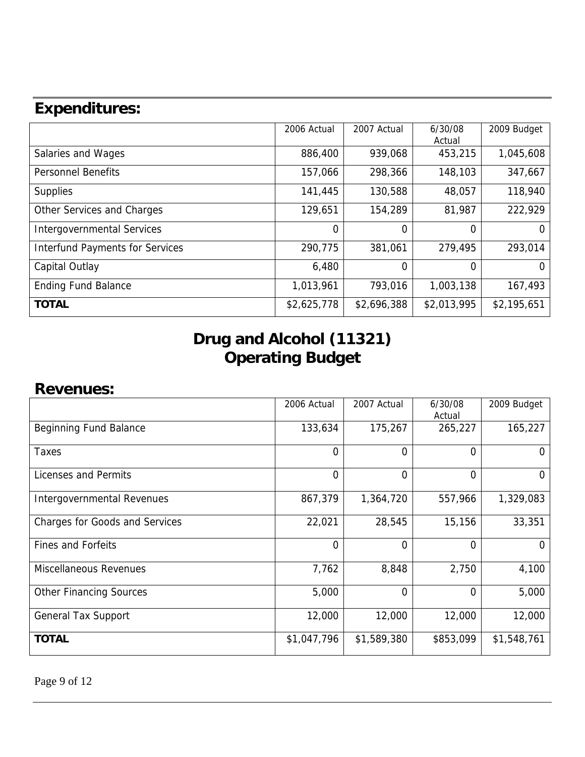|                                        | 2006 Actual | 2007 Actual | 6/30/08<br>Actual | 2009 Budget |
|----------------------------------------|-------------|-------------|-------------------|-------------|
| Salaries and Wages                     | 886,400     | 939,068     | 453,215           | 1,045,608   |
| <b>Personnel Benefits</b>              | 157,066     | 298,366     | 148,103           | 347,667     |
| <b>Supplies</b>                        | 141,445     | 130,588     | 48,057            | 118,940     |
| Other Services and Charges             | 129,651     | 154,289     | 81,987            | 222,929     |
| <b>Intergovernmental Services</b>      | $\Omega$    | 0           | 0                 | $\Omega$    |
| <b>Interfund Payments for Services</b> | 290,775     | 381,061     | 279,495           | 293,014     |
| Capital Outlay                         | 6,480       | 0           | 0                 | $\Omega$    |
| <b>Ending Fund Balance</b>             | 1,013,961   | 793,016     | 1,003,138         | 167,493     |
| <b>TOTAL</b>                           | \$2,625,778 | \$2,696,388 | \$2,013,995       | \$2,195,651 |

## **Drug and Alcohol (11321) Operating Budget**

#### **Revenues:**

|                                       | 2006 Actual    | 2007 Actual    | 6/30/08<br>Actual | 2009 Budget |
|---------------------------------------|----------------|----------------|-------------------|-------------|
| Beginning Fund Balance                | 133,634        | 175,267        | 265,227           | 165,227     |
| Taxes                                 | $\overline{0}$ | 0              | $\overline{0}$    |             |
| Licenses and Permits                  | $\overline{0}$ | 0              | $\Omega$          | 0           |
| Intergovernmental Revenues            | 867,379        | 1,364,720      | 557,966           | 1,329,083   |
| <b>Charges for Goods and Services</b> | 22,021         | 28,545         | 15,156            | 33,351      |
| <b>Fines and Forfeits</b>             | $\overline{0}$ | 0              | $\overline{0}$    | $\Omega$    |
| <b>Miscellaneous Revenues</b>         | 7,762          | 8,848          | 2,750             | 4,100       |
| <b>Other Financing Sources</b>        | 5,000          | $\overline{0}$ | $\Omega$          | 5,000       |
| <b>General Tax Support</b>            | 12,000         | 12,000         | 12,000            | 12,000      |
| <b>TOTAL</b>                          | \$1,047,796    | \$1,589,380    | \$853,099         | \$1,548,761 |

Page 9 of 12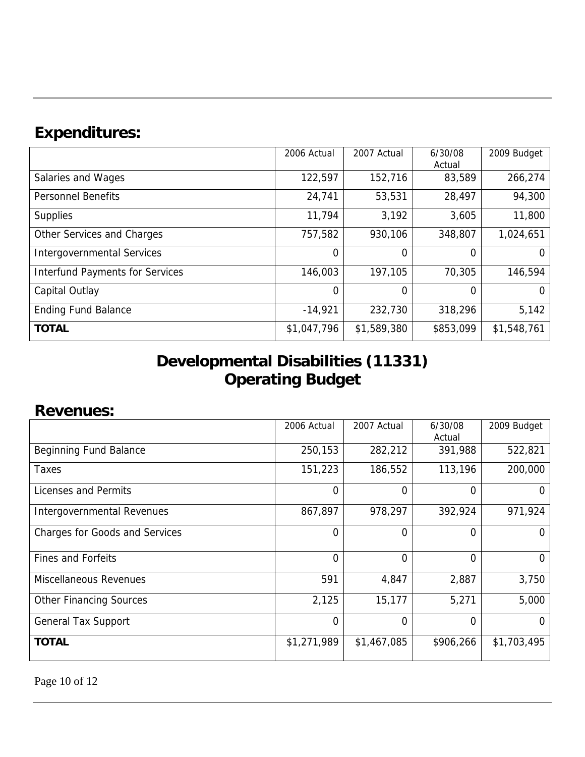|                                        | 2006 Actual | 2007 Actual    | 6/30/08   | 2009 Budget |
|----------------------------------------|-------------|----------------|-----------|-------------|
|                                        |             |                | Actual    |             |
| Salaries and Wages                     | 122,597     | 152,716        | 83,589    | 266,274     |
| <b>Personnel Benefits</b>              | 24,741      | 53,531         | 28,497    | 94,300      |
| <b>Supplies</b>                        | 11,794      | 3,192          | 3,605     | 11,800      |
| Other Services and Charges             | 757,582     | 930,106        | 348,807   | 1,024,651   |
| <b>Intergovernmental Services</b>      | $\Omega$    | 0              | 0         | Ü           |
| <b>Interfund Payments for Services</b> | 146,003     | 197,105        | 70,305    | 146,594     |
| Capital Outlay                         | $\Omega$    | $\overline{0}$ | 0         | O           |
| <b>Ending Fund Balance</b>             | $-14,921$   | 232,730        | 318,296   | 5,142       |
| <b>TOTAL</b>                           | \$1,047,796 | \$1,589,380    | \$853,099 | \$1,548,761 |

## **Developmental Disabilities (11331) Operating Budget**

### **Revenues:**

|                                       | 2006 Actual    | 2007 Actual    | 6/30/08<br>Actual | 2009 Budget |
|---------------------------------------|----------------|----------------|-------------------|-------------|
| Beginning Fund Balance                | 250,153        | 282,212        | 391,988           | 522,821     |
| Taxes                                 | 151,223        | 186,552        | 113,196           | 200,000     |
| Licenses and Permits                  | $\overline{0}$ | 0              | 0                 |             |
| Intergovernmental Revenues            | 867,897        | 978,297        | 392,924           | 971,924     |
| <b>Charges for Goods and Services</b> | $\overline{0}$ | 0              | 0                 | 0           |
| <b>Fines and Forfeits</b>             | $\overline{0}$ | 0              | 0                 | $\Omega$    |
| <b>Miscellaneous Revenues</b>         | 591            | 4,847          | 2,887             | 3,750       |
| <b>Other Financing Sources</b>        | 2,125          | 15,177         | 5,271             | 5,000       |
| <b>General Tax Support</b>            | $\overline{0}$ | $\overline{0}$ | $\Omega$          | 0           |
| <b>TOTAL</b>                          | \$1,271,989    | \$1,467,085    | \$906,266         | \$1,703,495 |

Page 10 of 12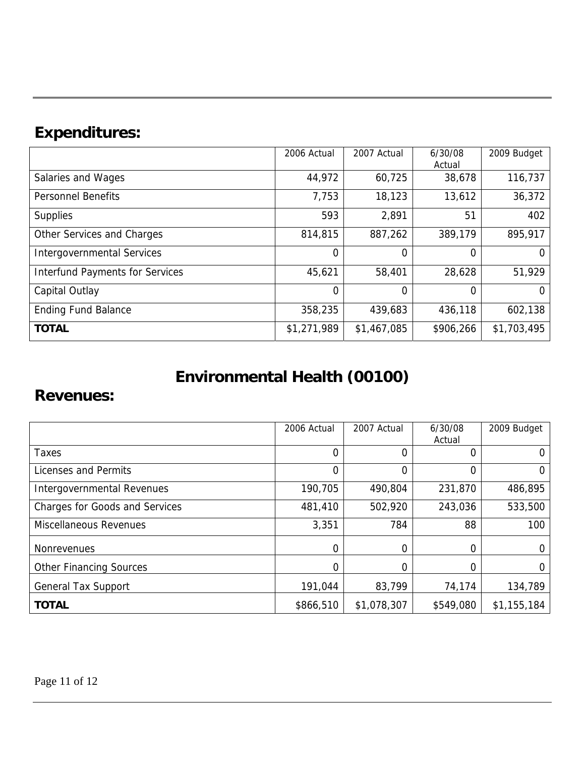|                                        | 2006 Actual    | 2007 Actual | 6/30/08   | 2009 Budget |
|----------------------------------------|----------------|-------------|-----------|-------------|
|                                        |                |             | Actual    |             |
| Salaries and Wages                     | 44,972         | 60,725      | 38,678    | 116,737     |
| <b>Personnel Benefits</b>              | 7,753          | 18,123      | 13,612    | 36,372      |
| <b>Supplies</b>                        | 593            | 2,891       | 51        | 402         |
| Other Services and Charges             | 814,815        | 887,262     | 389,179   | 895,917     |
| <b>Intergovernmental Services</b>      | 0              | 0           | 0         | $\Omega$    |
| <b>Interfund Payments for Services</b> | 45,621         | 58,401      | 28,628    | 51,929      |
| Capital Outlay                         | $\overline{0}$ | 0           | 0         | $\Omega$    |
| <b>Ending Fund Balance</b>             | 358,235        | 439,683     | 436,118   | 602,138     |
| <b>TOTAL</b>                           | \$1,271,989    | \$1,467,085 | \$906,266 | \$1,703,495 |

# **Environmental Health (00100)**

### **Revenues:**

|                                       | 2006 Actual    | 2007 Actual | 6/30/08<br>Actual | 2009 Budget |
|---------------------------------------|----------------|-------------|-------------------|-------------|
| Taxes                                 | $\Omega$       | 0           | 0                 | O           |
| Licenses and Permits                  | $\overline{0}$ | 0           | 0                 | O           |
| Intergovernmental Revenues            | 190,705        | 490,804     | 231,870           | 486,895     |
| <b>Charges for Goods and Services</b> | 481,410        | 502,920     | 243,036           | 533,500     |
| <b>Miscellaneous Revenues</b>         | 3,351          | 784         | 88                | 100         |
| <b>Nonrevenues</b>                    | $\Omega$       | 0           | 0                 | O           |
| <b>Other Financing Sources</b>        | 0              | 0           |                   | O           |
| <b>General Tax Support</b>            | 191,044        | 83,799      | 74,174            | 134,789     |
| <b>TOTAL</b>                          | \$866,510      | \$1,078,307 | \$549,080         | \$1,155,184 |